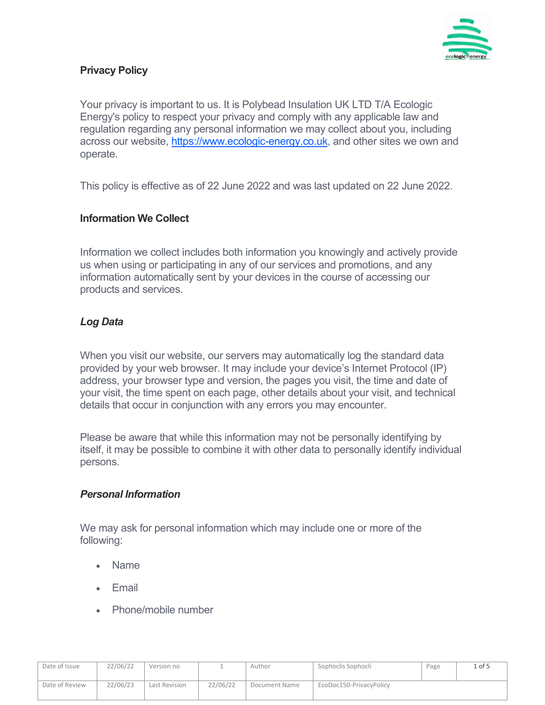

# **Privacy Policy**

Your privacy is important to us. It is Polybead Insulation UK LTD T/A Ecologic Energy's policy to respect your privacy and comply with any applicable law and regulation regarding any personal information we may collect about you, including across our website, [https://www.ecologic-energy.co.uk,](https://www.ecologic-energy.co.uk/) and other sites we own and operate.

This policy is effective as of 22 June 2022 and was last updated on 22 June 2022.

### **Information We Collect**

Information we collect includes both information you knowingly and actively provide us when using or participating in any of our services and promotions, and any information automatically sent by your devices in the course of accessing our products and services.

# *Log Data*

When you visit our website, our servers may automatically log the standard data provided by your web browser. It may include your device's Internet Protocol (IP) address, your browser type and version, the pages you visit, the time and date of your visit, the time spent on each page, other details about your visit, and technical details that occur in conjunction with any errors you may encounter.

Please be aware that while this information may not be personally identifying by itself, it may be possible to combine it with other data to personally identify individual persons.

### *Personal Information*

We may ask for personal information which may include one or more of the following:

- Name
- Email
- Phone/mobile number

| Date of Issue  | 22/06/22 | Version no    |          | Author        | Sophoclis Sophocli      | Page | . of 5 |
|----------------|----------|---------------|----------|---------------|-------------------------|------|--------|
|                |          |               |          |               |                         |      |        |
| Date of Review | 22/06/23 | Last Revision | 22/06/22 | Document Name | EcoDoc150-PrivacyPolicy |      |        |
|                |          |               |          |               |                         |      |        |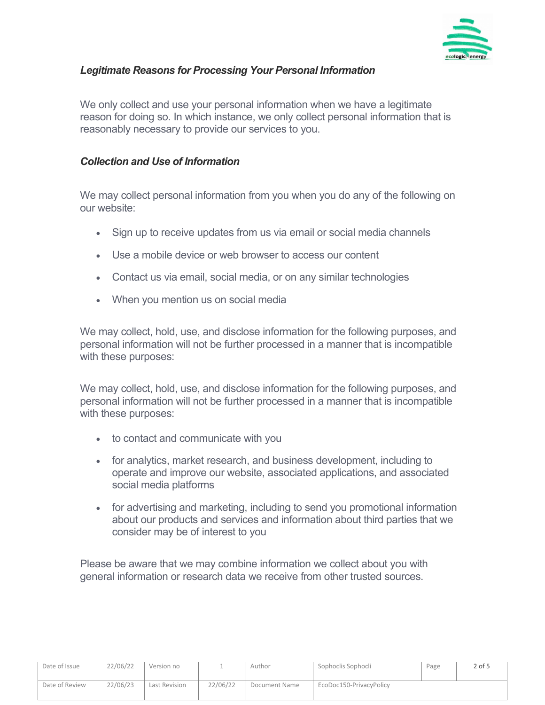

# *Legitimate Reasons for Processing Your Personal Information*

We only collect and use your personal information when we have a legitimate reason for doing so. In which instance, we only collect personal information that is reasonably necessary to provide our services to you.

#### *Collection and Use of Information*

We may collect personal information from you when you do any of the following on our website:

- Sign up to receive updates from us via email or social media channels
- Use a mobile device or web browser to access our content
- Contact us via email, social media, or on any similar technologies
- When you mention us on social media

We may collect, hold, use, and disclose information for the following purposes, and personal information will not be further processed in a manner that is incompatible with these purposes:

We may collect, hold, use, and disclose information for the following purposes, and personal information will not be further processed in a manner that is incompatible with these purposes:

- to contact and communicate with you
- for analytics, market research, and business development, including to operate and improve our website, associated applications, and associated social media platforms
- for advertising and marketing, including to send you promotional information about our products and services and information about third parties that we consider may be of interest to you

Please be aware that we may combine information we collect about you with general information or research data we receive from other trusted sources.

| Date of Issue  | 22/06/22 | Version no    |          | Author        | Sophoclis Sophocli      | Page | $2$ of 5 |
|----------------|----------|---------------|----------|---------------|-------------------------|------|----------|
| Date of Review | 22/06/23 | Last Revision | 22/06/22 | Document Name | EcoDoc150-PrivacyPolicy |      |          |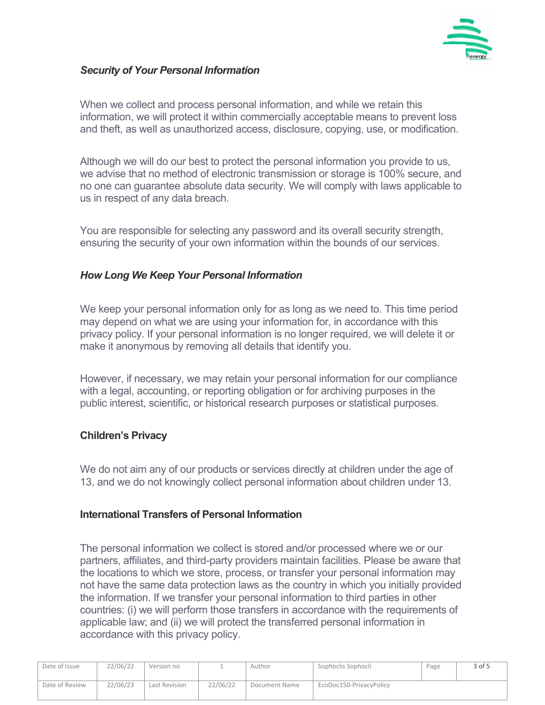

## *Security of Your Personal Information*

When we collect and process personal information, and while we retain this information, we will protect it within commercially acceptable means to prevent loss and theft, as well as unauthorized access, disclosure, copying, use, or modification.

Although we will do our best to protect the personal information you provide to us, we advise that no method of electronic transmission or storage is 100% secure, and no one can guarantee absolute data security. We will comply with laws applicable to us in respect of any data breach.

You are responsible for selecting any password and its overall security strength, ensuring the security of your own information within the bounds of our services.

### *How Long We Keep Your Personal Information*

We keep your personal information only for as long as we need to. This time period may depend on what we are using your information for, in accordance with this privacy policy. If your personal information is no longer required, we will delete it or make it anonymous by removing all details that identify you.

However, if necessary, we may retain your personal information for our compliance with a legal, accounting, or reporting obligation or for archiving purposes in the public interest, scientific, or historical research purposes or statistical purposes.

### **Children's Privacy**

We do not aim any of our products or services directly at children under the age of 13, and we do not knowingly collect personal information about children under 13.

### **International Transfers of Personal Information**

The personal information we collect is stored and/or processed where we or our partners, affiliates, and third-party providers maintain facilities. Please be aware that the locations to which we store, process, or transfer your personal information may not have the same data protection laws as the country in which you initially provided the information. If we transfer your personal information to third parties in other countries: (i) we will perform those transfers in accordance with the requirements of applicable law; and (ii) we will protect the transferred personal information in accordance with this privacy policy.

| Date of Issue  | 22/06/22 | Version no    |          | Author        | Sophoclis Sophocli      | Page | 3 of 5 |
|----------------|----------|---------------|----------|---------------|-------------------------|------|--------|
| Date of Review | 22/06/23 | Last Revision | 22/06/22 | Document Name | EcoDoc150-PrivacyPolicy |      |        |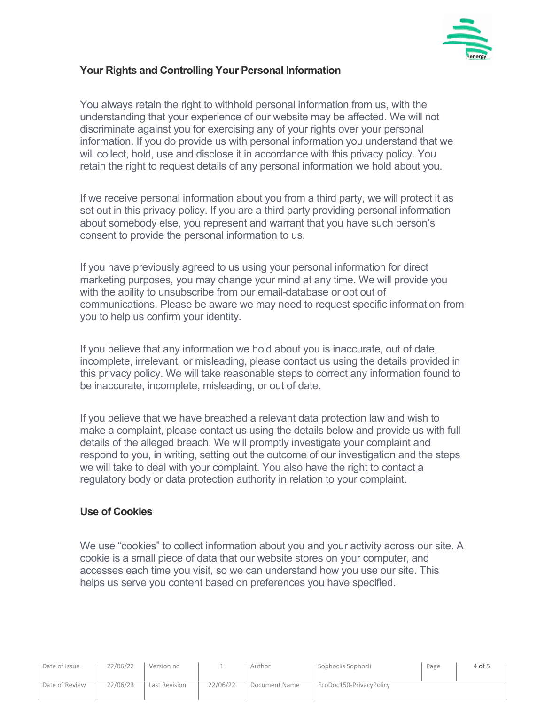

## **Your Rights and Controlling Your Personal Information**

You always retain the right to withhold personal information from us, with the understanding that your experience of our website may be affected. We will not discriminate against you for exercising any of your rights over your personal information. If you do provide us with personal information you understand that we will collect, hold, use and disclose it in accordance with this privacy policy. You retain the right to request details of any personal information we hold about you.

If we receive personal information about you from a third party, we will protect it as set out in this privacy policy. If you are a third party providing personal information about somebody else, you represent and warrant that you have such person's consent to provide the personal information to us.

If you have previously agreed to us using your personal information for direct marketing purposes, you may change your mind at any time. We will provide you with the ability to unsubscribe from our email-database or opt out of communications. Please be aware we may need to request specific information from you to help us confirm your identity.

If you believe that any information we hold about you is inaccurate, out of date, incomplete, irrelevant, or misleading, please contact us using the details provided in this privacy policy. We will take reasonable steps to correct any information found to be inaccurate, incomplete, misleading, or out of date.

If you believe that we have breached a relevant data protection law and wish to make a complaint, please contact us using the details below and provide us with full details of the alleged breach. We will promptly investigate your complaint and respond to you, in writing, setting out the outcome of our investigation and the steps we will take to deal with your complaint. You also have the right to contact a regulatory body or data protection authority in relation to your complaint.

### **Use of Cookies**

We use "cookies" to collect information about you and your activity across our site. A cookie is a small piece of data that our website stores on your computer, and accesses each time you visit, so we can understand how you use our site. This helps us serve you content based on preferences you have specified.

| Date of Issue  | 22/06/22 | Version no    |          | Author        | Sophoclis Sophocli      | Page | 4 of 5 |
|----------------|----------|---------------|----------|---------------|-------------------------|------|--------|
| Date of Review | 22/06/23 | Last Revision | 22/06/22 | Document Name | EcoDoc150-PrivacyPolicy |      |        |